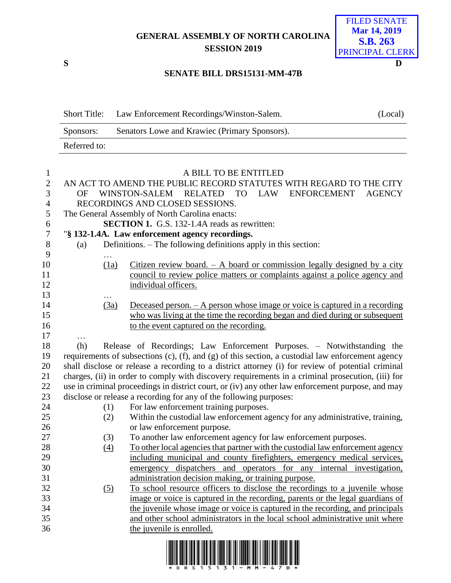## **GENERAL ASSEMBLY OF NORTH CAROLINA SESSION 2019**

**S D**

## FILED SENATE **Mar 14, 2019 S.B. 263** PRINCIPAL CLERK

## **SENATE BILL DRS15131-MM-47B**

| <b>Short Title:</b> | Law Enforcement Recordings/Winston-Salem.     | (Local) |
|---------------------|-----------------------------------------------|---------|
| Sponsors:           | Senators Lowe and Krawiec (Primary Sponsors). |         |
| Referred to:        |                                               |         |

| $\mathbf{1}$     | A BILL TO BE ENTITLED                                                                                     |                  |                                                                                         |  |  |  |
|------------------|-----------------------------------------------------------------------------------------------------------|------------------|-----------------------------------------------------------------------------------------|--|--|--|
| $\overline{2}$   |                                                                                                           |                  | AN ACT TO AMEND THE PUBLIC RECORD STATUTES WITH REGARD TO THE CITY                      |  |  |  |
| $\overline{3}$   | OF                                                                                                        |                  | WINSTON-SALEM RELATED<br><b>LAW</b><br><b>TO</b><br><b>ENFORCEMENT</b><br><b>AGENCY</b> |  |  |  |
| $\overline{4}$   | RECORDINGS AND CLOSED SESSIONS.                                                                           |                  |                                                                                         |  |  |  |
| 5                |                                                                                                           |                  | The General Assembly of North Carolina enacts:                                          |  |  |  |
| 6                |                                                                                                           |                  | <b>SECTION 1.</b> G.S. 132-1.4A reads as rewritten:                                     |  |  |  |
| $\boldsymbol{7}$ |                                                                                                           |                  | "§ 132-1.4A. Law enforcement agency recordings.                                         |  |  |  |
| 8                | (a)                                                                                                       |                  | Definitions. - The following definitions apply in this section:                         |  |  |  |
| 9                | $\cdots$                                                                                                  |                  |                                                                                         |  |  |  |
| 10               |                                                                                                           | (1a)             | Citizen review board. $-$ A board or commission legally designed by a city              |  |  |  |
| 11               |                                                                                                           |                  | council to review police matters or complaints against a police agency and              |  |  |  |
| 12               |                                                                                                           |                  | individual officers.                                                                    |  |  |  |
| 13               |                                                                                                           |                  |                                                                                         |  |  |  |
| 14               |                                                                                                           | $\frac{(3a)}{2}$ | Deceased person. $- A$ person whose image or voice is captured in a recording           |  |  |  |
| 15               |                                                                                                           |                  | who was living at the time the recording began and died during or subsequent            |  |  |  |
| 16               |                                                                                                           |                  | to the event captured on the recording.                                                 |  |  |  |
| 17               | .                                                                                                         |                  |                                                                                         |  |  |  |
| 18               | (h)                                                                                                       |                  | Release of Recordings; Law Enforcement Purposes. - Notwithstanding the                  |  |  |  |
| 19               | requirements of subsections $(c)$ , $(f)$ , and $(g)$ of this section, a custodial law enforcement agency |                  |                                                                                         |  |  |  |
| 20               | shall disclose or release a recording to a district attorney (i) for review of potential criminal         |                  |                                                                                         |  |  |  |
| 21               | charges, (ii) in order to comply with discovery requirements in a criminal prosecution, (iii) for         |                  |                                                                                         |  |  |  |
| 22               | use in criminal proceedings in district court, or (iv) any other law enforcement purpose, and may         |                  |                                                                                         |  |  |  |
| 23               |                                                                                                           |                  | disclose or release a recording for any of the following purposes:                      |  |  |  |
| 24               |                                                                                                           | (1)              | For law enforcement training purposes.                                                  |  |  |  |
| 25               |                                                                                                           | (2)              | Within the custodial law enforcement agency for any administrative, training,           |  |  |  |
| 26               |                                                                                                           |                  | or law enforcement purpose.                                                             |  |  |  |
| 27               |                                                                                                           | (3)              | To another law enforcement agency for law enforcement purposes.                         |  |  |  |
| 28               |                                                                                                           | (4)              | To other local agencies that partner with the custodial law enforcement agency          |  |  |  |
| 29               |                                                                                                           |                  | including municipal and county firefighters, emergency medical services,                |  |  |  |
| 30               |                                                                                                           |                  | emergency dispatchers and operators for any internal investigation,                     |  |  |  |
| 31               |                                                                                                           |                  | administration decision making, or training purpose.                                    |  |  |  |
| 32               |                                                                                                           | (5)              | To school resource officers to disclose the recordings to a juvenile whose              |  |  |  |
| 33               |                                                                                                           |                  | image or voice is captured in the recording, parents or the legal guardians of          |  |  |  |
| 34               |                                                                                                           |                  | the juvenile whose image or voice is captured in the recording, and principals          |  |  |  |
| 35               |                                                                                                           |                  | and other school administrators in the local school administrative unit where           |  |  |  |
| 36               |                                                                                                           |                  | the juvenile is enrolled.                                                               |  |  |  |
|                  |                                                                                                           |                  |                                                                                         |  |  |  |